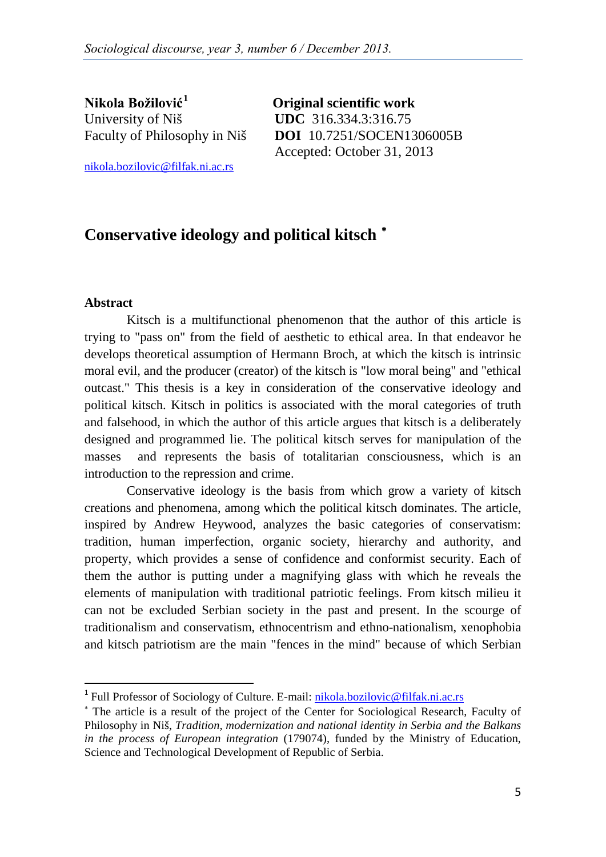**Nikola Božilović[1](#page-0-0)** University of Niš **UDC** 316.334.3:316.75

 **Original scientific work** Faculty of Philosophy in Niš DOI 10.7251/SOCEN1306005B Accepted: October 31, 2013

nikola.bozilovic@filfak.ni.ac.rs

# **Conservative ideology and political kitsch** [∗](#page-0-1)

#### **Abstract**

Kitsch is a multifunctional phenomenon that the author of this article is trying to "pass on" from the field of aesthetic to ethical area. In that endeavor he develops theoretical assumption of Hermann Broch, at which the kitsch is intrinsic moral evil, and the producer (creator) of the kitsch is "low moral being" and "ethical outcast." This thesis is a key in consideration of the conservative ideology and political kitsch. Kitsch in politics is associated with the moral categories of truth and falsehood, in which the author of this article argues that kitsch is a deliberately designed and programmed lie. The political kitsch serves for manipulation of the masses and represents the basis of totalitarian consciousness, which is an introduction to the repression and crime.

Conservative ideology is the basis from which grow a variety of kitsch creations and phenomena, among which the political kitsch dominates. The article, inspired by Andrew Heywood, analyzes the basic categories of conservatism: tradition, human imperfection, organic society, hierarchy and authority, and property, which provides a sense of confidence and conformist security. Each of them the author is putting under a magnifying glass with which he reveals the elements of manipulation with traditional patriotic feelings. From kitsch milieu it can not be excluded Serbian society in the past and present. In the scourge of traditionalism and conservatism, ethnocentrism and ethno-nationalism, xenophobia and kitsch patriotism are the main "fences in the mind" because of which Serbian

<span id="page-0-0"></span><sup>&</sup>lt;sup>1</sup> Full Professor of Sociology of Culture. E-mail: nikola.bozilovic@filfak.ni.ac.rs

<span id="page-0-1"></span><sup>∗</sup> The article is a result of the project of the Center for Sociological Research, Faculty of Philosophy in Niš, *Tradition, modernization and national identity in Serbia and the Balkans in the process of European integration* (179074), funded by the Ministry of Education, Science and Technological Development of Republic of Serbia.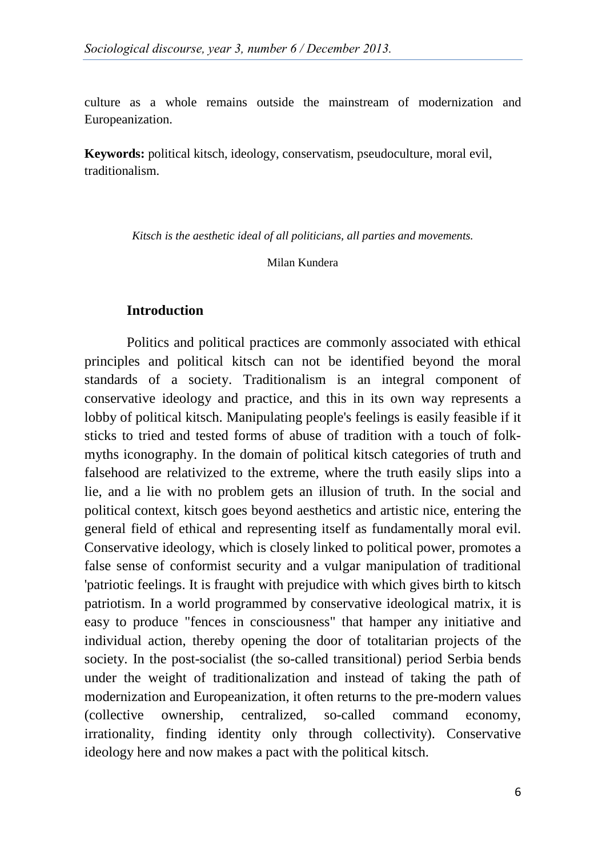culture as a whole remains outside the mainstream of modernization and Europeanization.

**Keywords:** political kitsch, ideology, conservatism, pseudoculture, moral evil, traditionalism.

*Kitsch is the aesthetic ideal of all politicians, all parties and movements.*

Milan Kundera

#### **Introduction**

Politics and political practices are commonly associated with ethical principles and political kitsch can not be identified beyond the moral standards of a society. Traditionalism is an integral component of conservative ideology and practice, and this in its own way represents a lobby of political kitsch. Manipulating people's feelings is easily feasible if it sticks to tried and tested forms of abuse of tradition with a touch of folkmyths iconography. In the domain of political kitsch categories of truth and falsehood are relativized to the extreme, where the truth easily slips into a lie, and a lie with no problem gets an illusion of truth. In the social and political context, kitsch goes beyond aesthetics and artistic nice, entering the general field of ethical and representing itself as fundamentally moral evil. Conservative ideology, which is closely linked to political power, promotes a false sense of conformist security and a vulgar manipulation of traditional 'patriotic feelings. It is fraught with prejudice with which gives birth to kitsch patriotism. In a world programmed by conservative ideological matrix, it is easy to produce "fences in consciousness" that hamper any initiative and individual action, thereby opening the door of totalitarian projects of the society. In the post-socialist (the so-called transitional) period Serbia bends under the weight of traditionalization and instead of taking the path of modernization and Europeanization, it often returns to the pre-modern values (collective ownership, centralized, so-called command economy, irrationality, finding identity only through collectivity). Conservative ideology here and now makes a pact with the political kitsch.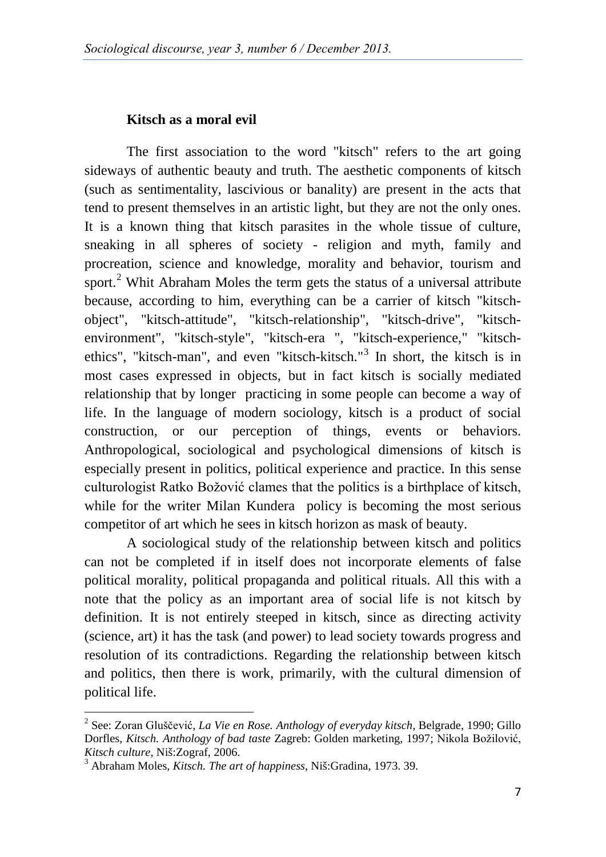#### **Kitsch as a moral evil**

The first association to the word "kitsch" refers to the art going sideways of authentic beauty and truth. The aesthetic components of kitsch (such as sentimentality, lascivious or banality) are present in the acts that tend to present themselves in an artistic light, but they are not the only ones. It is a known thing that kitsch parasites in the whole tissue of culture, sneaking in all spheres of society - religion and myth, family and procreation, science and knowledge, morality and behavior, tourism and sport.<sup>[2](#page-2-0)</sup> Whit Abraham Moles the term gets the status of a universal attribute because, according to him, everything can be a carrier of kitsch "kitschobject", "kitsch-attitude", "kitsch-relationship", "kitsch-drive", "kitschenvironment", "kitsch-style", "kitsch-era ", "kitsch-experience," "kitschethics", "kitsch-man", and even "kitsch-kitsch." [3](#page-2-0) In short, the kitsch is in most cases expressed in objects, but in fact kitsch is socially mediated relationship that by longer practicing in some people can become a way of life. In the language of modern sociology, kitsch is a product of social construction, or our perception of things, events or behaviors. Anthropological, sociological and psychological dimensions of kitsch is especially present in politics, political experience and practice. In this sense culturologist Ratko Božović clames that the politics is a birthplace of kitsch, while for the writer Milan Kundera policy is becoming the most serious competitor of art which he sees in kitsch horizon as mask of beauty.

A sociological study of the relationship between kitsch and politics can not be completed if in itself does not incorporate elements of false political morality, political propaganda and political rituals. All this with a note that the policy as an important area of social life is not kitsch by definition. It is not entirely steeped in kitsch, since as directing activity (science, art) it has the task (and power) to lead society towards progress and resolution of its contradictions. Regarding the relationship between kitsch and politics, then there is work, primarily, with the cultural dimension of political life.

<span id="page-2-0"></span><sup>2</sup> See: Zoran Gluščević, *La Vie en Rose. Anthology of everyday kitsch,* Belgrade, 1990; Gillo Dorfles, *Kitsch. Anthology of bad taste* Zagreb: Golden marketing, 1997; Nikola Božilović, *Kitsch culture*, Niš:Zograf, 2006. <sup>3</sup> Abraham Moles, *Kitsch. The art of happiness*, Niš:Gradina, 1973. 39.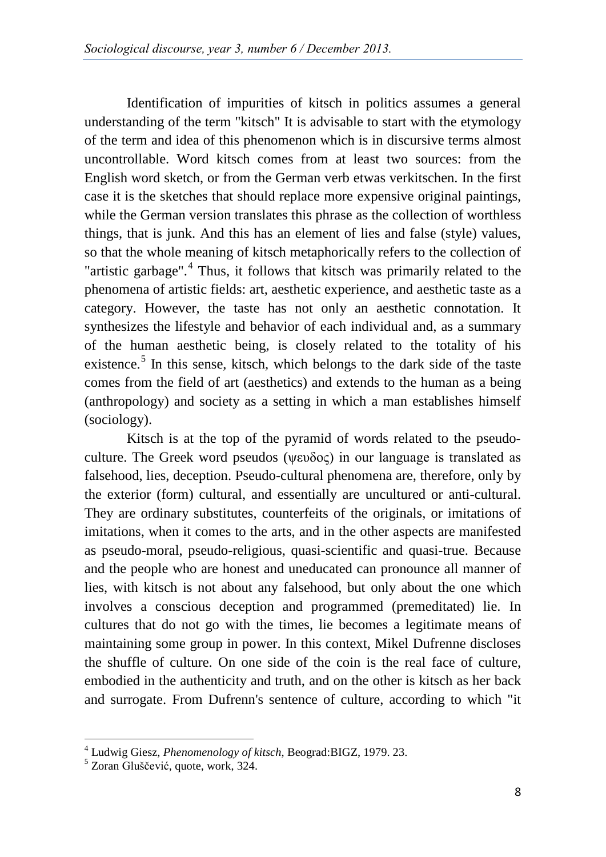Identification of impurities of kitsch in politics assumes a general understanding of the term "kitsch" It is advisable to start with the etymology of the term and idea of this phenomenon which is in discursive terms almost uncontrollable. Word kitsch comes from at least two sources: from the English word sketch, or from the German verb etwas verkitschen. In the first case it is the sketches that should replace more expensive original paintings, while the German version translates this phrase as the collection of worthless things, that is junk. And this has an element of lies and false (style) values, so that the whole meaning of kitsch metaphorically refers to the collection of "artistic garbage".<sup>[4](#page-3-0)</sup> Thus, it follows that kitsch was primarily related to the phenomena of artistic fields: art, aesthetic experience, and aesthetic taste as a category. However, the taste has not only an aesthetic connotation. It synthesizes the lifestyle and behavior of each individual and, as a summary of the human aesthetic being, is closely related to the totality of his existence.<sup>[5](#page-3-0)</sup> In this sense, kitsch, which belongs to the dark side of the taste comes from the field of art (aesthetics) and extends to the human as a being (anthropology) and society as a setting in which a man establishes himself (sociology).

Kitsch is at the top of the pyramid of words related to the pseudoculture. The Greek word pseudos (ψευδος) in our language is translated as falsehood, lies, deception. Pseudo-cultural phenomena are, therefore, only by the exterior (form) cultural, and essentially are uncultured or anti-cultural. They are ordinary substitutes, counterfeits of the originals, or imitations of imitations, when it comes to the arts, and in the other aspects are manifested as pseudo-moral, pseudo-religious, quasi-scientific and quasi-true. Because and the people who are honest and uneducated can pronounce all manner of lies, with kitsch is not about any falsehood, but only about the one which involves a conscious deception and programmed (premeditated) lie. In cultures that do not go with the times, lie becomes a legitimate means of maintaining some group in power. In this context, Mikel Dufrenne discloses the shuffle of culture. On one side of the coin is the real face of culture, embodied in the authenticity and truth, and on the other is kitsch as her back and surrogate. From Dufrenn's sentence of culture, according to which "it

<span id="page-3-0"></span><sup>&</sup>lt;sup>4</sup> Ludwig Giesz, *Phenomenology of kitsch*, Beograd:BIGZ, 1979. 23. <sup>5</sup> Zoran Gluščević, quote, work, 324.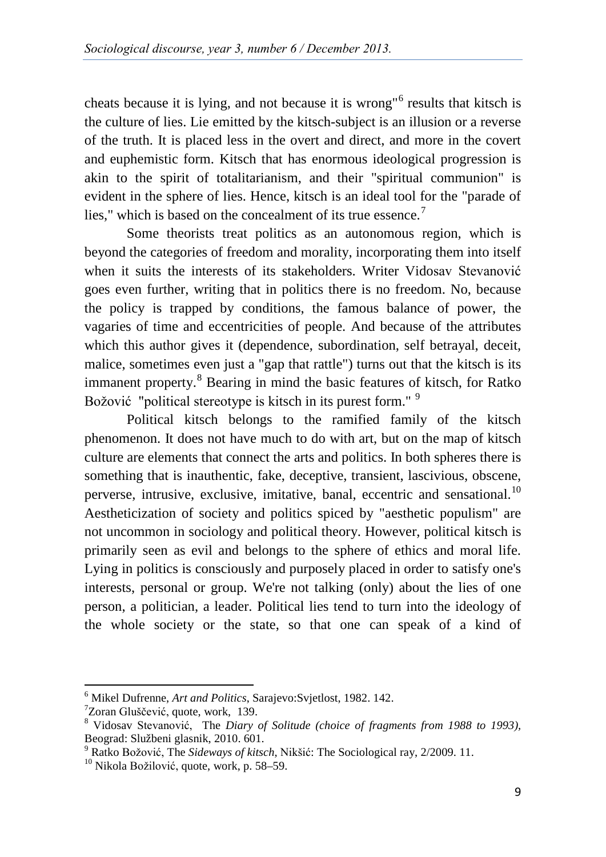cheats because it is lying, and not because it is wrong"[6](#page-4-0) results that kitsch is the culture of lies. Lie emitted by the kitsch-subject is an illusion or a reverse of the truth. It is placed less in the overt and direct, and more in the covert and euphemistic form. Kitsch that has enormous ideological progression is akin to the spirit of totalitarianism, and their "spiritual communion" is evident in the sphere of lies. Hence, kitsch is an ideal tool for the "parade of lies," which is based on the concealment of its true essence.<sup>[7](#page-4-0)</sup>

Some theorists treat politics as an autonomous region, which is beyond the categories of freedom and morality, incorporating them into itself when it suits the interests of its stakeholders. Writer Vidosav Stevanović goes even further, writing that in politics there is no freedom. No, because the policy is trapped by conditions, the famous balance of power, the vagaries of time and eccentricities of people. And because of the attributes which this author gives it (dependence, subordination, self betrayal, deceit, malice, sometimes even just a "gap that rattle") turns out that the kitsch is its immanent property.<sup>[8](#page-4-0)</sup> Bearing in mind the basic features of kitsch, for Ratko Božović "political stereotype is kitsch in its purest form."<sup>[9](#page-4-0)</sup>

Political kitsch belongs to the ramified family of the kitsch phenomenon. It does not have much to do with art, but on the map of kitsch culture are elements that connect the arts and politics. In both spheres there is something that is inauthentic, fake, deceptive, transient, lascivious, obscene, perverse, intrusive, exclusive, imitative, banal, eccentric and sensational.<sup>[10](#page-4-0)</sup> Aestheticization of society and politics spiced by "aesthetic populism" are not uncommon in sociology and political theory. However, political kitsch is primarily seen as evil and belongs to the sphere of ethics and moral life. Lying in politics is consciously and purposely placed in order to satisfy one's interests, personal or group. We're not talking (only) about the lies of one person, a politician, a leader. Political lies tend to turn into the ideology of the whole society or the state, so that one can speak of a kind of

<span id="page-4-0"></span><sup>&</sup>lt;sup>6</sup> Mikel Dufrenne, *Art and Politics*, Sarajevo:Svjetlost, 1982. 142.<br><sup>7</sup>Zoran Gluščević, quote, work, 139.

<sup>&</sup>lt;sup>8</sup> Vidosav Stevanović, The *Diary of Solitude (choice of fragments from 1988 to 1993)*, Beograd: Službeni glasnik, 2010. 601.<br><sup>9</sup> Ratko Božović, The *Sideways of kitsch*, Nikšić: The Sociological ray, 2/2009. 11.<br><sup>10</sup> Nikola Božilović, quote, work, p. 58–59.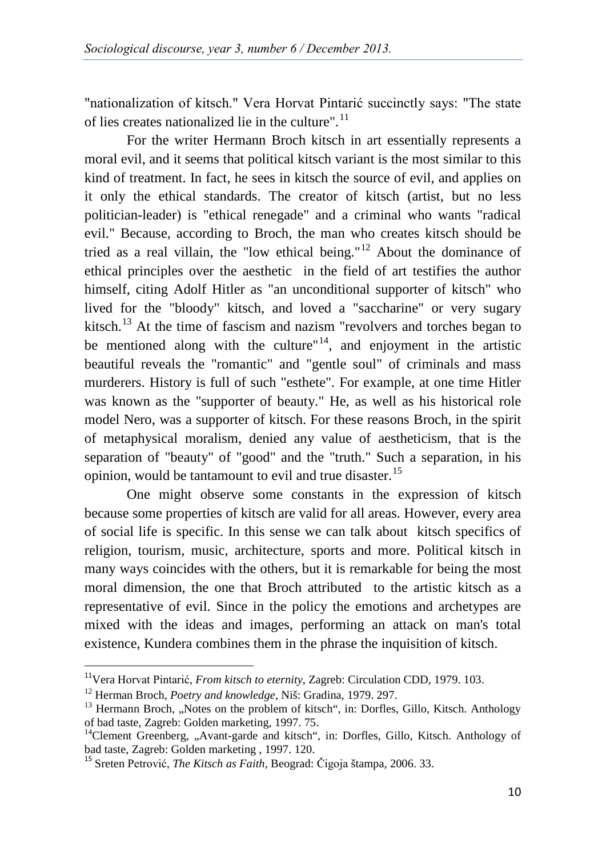"nationalization of kitsch." Vera Horvat Pintarić succinctly says: "The state of lies creates nationalized lie in the culture".<sup>[11](#page-5-0)</sup>

For the writer Hermann Broch kitsch in art essentially represents a moral evil, and it seems that political kitsch variant is the most similar to this kind of treatment. In fact, he sees in kitsch the source of evil, and applies on it only the ethical standards. The creator of kitsch (artist, but no less politician-leader) is "ethical renegade" and a criminal who wants "radical evil." Because, according to Broch, the man who creates kitsch should be tried as a real villain, the "low ethical being."<sup>[12](#page-5-0)</sup> About the dominance of ethical principles over the aesthetic in the field of art testifies the author himself, citing Adolf Hitler as "an unconditional supporter of kitsch" who lived for the "bloody" kitsch, and loved a "saccharine" or very sugary kitsch.<sup>[13](#page-5-0)</sup> At the time of fascism and nazism "revolvers and torches began to be mentioned along with the culture"<sup>14</sup>, and enjoyment in the artistic beautiful reveals the "romantic" and "gentle soul" of criminals and mass murderers. History is full of such "esthete". For example, at one time Hitler was known as the "supporter of beauty." He, as well as his historical role model Nero, was a supporter of kitsch. For these reasons Broch, in the spirit of metaphysical moralism, denied any value of aestheticism, that is the separation of "beauty" of "good" and the "truth." Such a separation, in his opinion, would be tantamount to evil and true disaster.<sup>[15](#page-5-0)</sup>

One might observe some constants in the expression of kitsch because some properties of kitsch are valid for all areas. However, every area of social life is specific. In this sense we can talk about kitsch specifics of religion, tourism, music, architecture, sports and more. Political kitsch in many ways coincides with the others, but it is remarkable for being the most moral dimension, the one that Broch attributed to the artistic kitsch as a representative of evil. Since in the policy the emotions and archetypes are mixed with the ideas and images, performing an attack on man's total existence, Kundera combines them in the phrase the inquisition of kitsch.

<span id="page-5-0"></span> <sup>11</sup>Vera Horvat Pintarić, *From kitsch to eternity*, Zagreb: Circulation CDD, 1979. 103.

<sup>&</sup>lt;sup>12</sup> Herman Broch, *Poetry and knowledge*, Niš: Gradina, 1979. 297.<br><sup>13</sup> Hermann Broch, "Notes on the problem of kitsch", in: Dorfles, Gillo, Kitsch. Anthology of bad taste, Zagreb: Golden marketing, 1997. 75.

<sup>&</sup>lt;sup>14</sup>Clement Greenberg, "Avant-garde and kitsch", in: Dorfles, Gillo, Kitsch. Anthology of bad taste, Zagreb: Golden marketing, 1997. 120.

<sup>&</sup>lt;sup>15</sup> Sreten Petrović, *The Kitsch as Faith*, Beograd: Čigoja štampa, 2006. 33.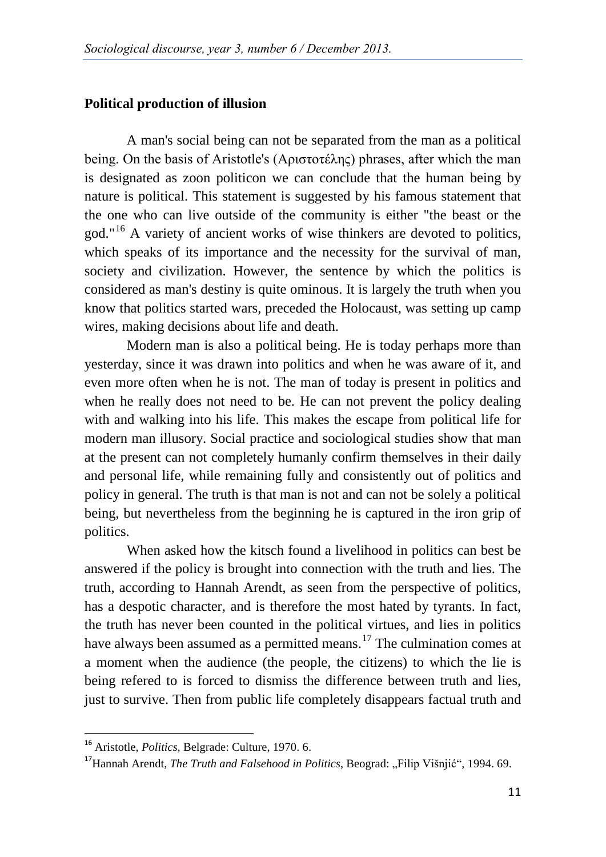#### **Political production of illusion**

A man's social being can not be separated from the man as a political being. On the basis of Aristotle's (Αριστοτέλης) phrases, after which the man is designated as zoon politicon we can conclude that the human being by nature is political. This statement is suggested by his famous statement that the one who can live outside of the community is either "the beast or the god."[16](#page-6-0) A variety of ancient works of wise thinkers are devoted to politics, which speaks of its importance and the necessity for the survival of man, society and civilization. However, the sentence by which the politics is considered as man's destiny is quite ominous. It is largely the truth when you know that politics started wars, preceded the Holocaust, was setting up camp wires, making decisions about life and death.

Modern man is also a political being. He is today perhaps more than yesterday, since it was drawn into politics and when he was aware of it, and even more often when he is not. The man of today is present in politics and when he really does not need to be. He can not prevent the policy dealing with and walking into his life. This makes the escape from political life for modern man illusory. Social practice and sociological studies show that man at the present can not completely humanly confirm themselves in their daily and personal life, while remaining fully and consistently out of politics and policy in general. The truth is that man is not and can not be solely a political being, but nevertheless from the beginning he is captured in the iron grip of politics.

When asked how the kitsch found a livelihood in politics can best be answered if the policy is brought into connection with the truth and lies. The truth, according to Hannah Arendt, as seen from the perspective of politics, has a despotic character, and is therefore the most hated by tyrants. In fact, the truth has never been counted in the political virtues, and lies in politics have always been assumed as a permitted means.<sup>[17](#page-6-0)</sup> The culmination comes at a moment when the audience (the people, the citizens) to which the lie is being refered to is forced to dismiss the difference between truth and lies, just to survive. Then from public life completely disappears factual truth and

<span id="page-6-0"></span> <sup>16</sup> Aristotle, *Politics*, Belgrade: Culture, 1970. 6.

<sup>&</sup>lt;sup>17</sup>Hannah Arendt, *The Truth and Falsehood in Politics*, Beograd: "Filip Višnjić", 1994. 69.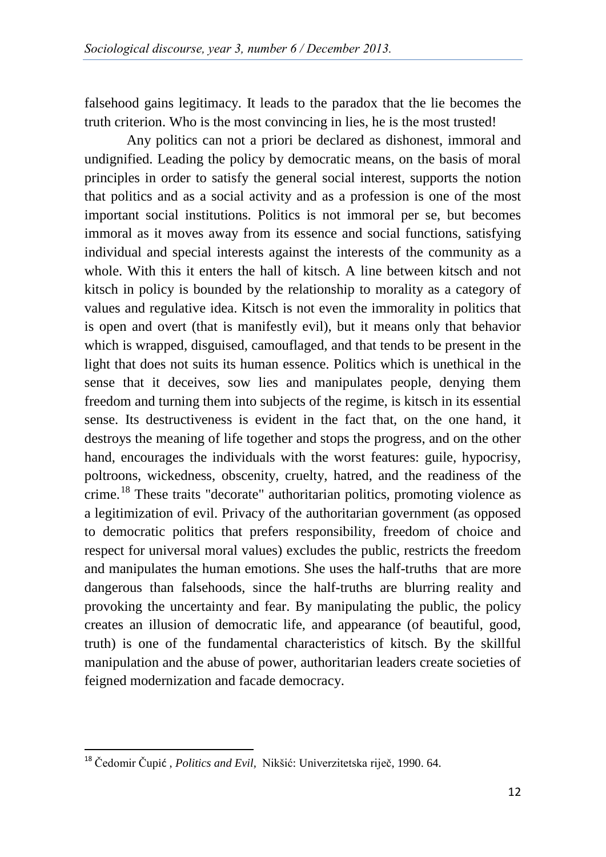falsehood gains legitimacy. It leads to the paradox that the lie becomes the truth criterion. Who is the most convincing in lies, he is the most trusted!

Any politics can not a priori be declared as dishonest, immoral and undignified. Leading the policy by democratic means, on the basis of moral principles in order to satisfy the general social interest, supports the notion that politics and as a social activity and as a profession is one of the most important social institutions. Politics is not immoral per se, but becomes immoral as it moves away from its essence and social functions, satisfying individual and special interests against the interests of the community as a whole. With this it enters the hall of kitsch. A line between kitsch and not kitsch in policy is bounded by the relationship to morality as a category of values and regulative idea. Kitsch is not even the immorality in politics that is open and overt (that is manifestly evil), but it means only that behavior which is wrapped, disguised, camouflaged, and that tends to be present in the light that does not suits its human essence. Politics which is unethical in the sense that it deceives, sow lies and manipulates people, denying them freedom and turning them into subjects of the regime, is kitsch in its essential sense. Its destructiveness is evident in the fact that, on the one hand, it destroys the meaning of life together and stops the progress, and on the other hand, encourages the individuals with the worst features: guile, hypocrisy, poltroons, wickedness, obscenity, cruelty, hatred, and the readiness of the crime.<sup>[18](#page-7-0)</sup> These traits "decorate" authoritarian politics, promoting violence as a legitimization of evil. Privacy of the authoritarian government (as opposed to democratic politics that prefers responsibility, freedom of choice and respect for universal moral values) excludes the public, restricts the freedom and manipulates the human emotions. She uses the half-truths that are more dangerous than falsehoods, since the half-truths are blurring reality and provoking the uncertainty and fear. By manipulating the public, the policy creates an illusion of democratic life, and appearance (of beautiful, good, truth) is one of the fundamental characteristics of kitsch. By the skillful manipulation and the abuse of power, authoritarian leaders create societies of feigned modernization and facade democracy.

<span id="page-7-0"></span> <sup>18</sup> Čedomir Čupi<sup>ć</sup> , *Politics and Evil,* Nikšić: Univerzitetska riječ, 1990. 64.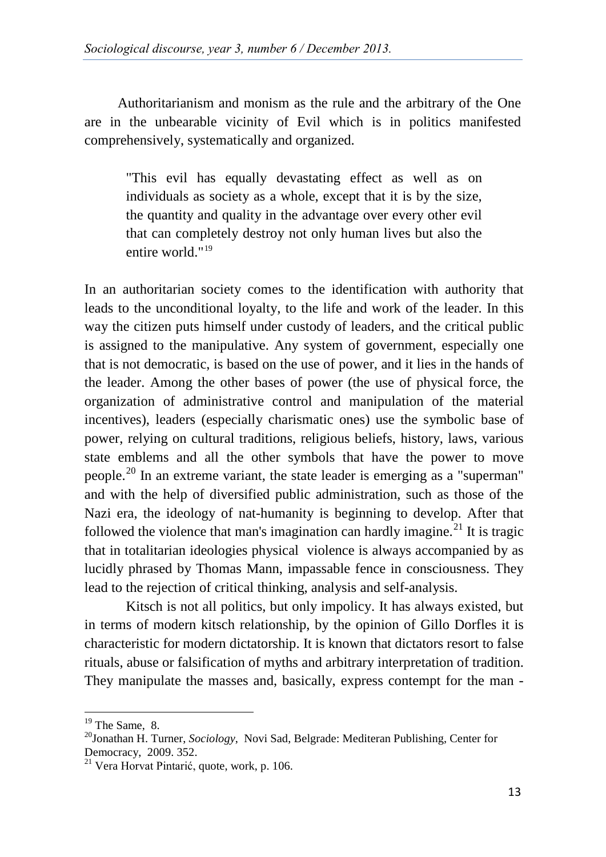Authoritarianism and monism as the rule and the arbitrary of the One are in the unbearable vicinity of Evil which is in politics manifested comprehensively, systematically and organized.

"This evil has equally devastating effect as well as on individuals as society as a whole, except that it is by the size, the quantity and quality in the advantage over every other evil that can completely destroy not only human lives but also the entire world."[19](#page-8-0)

In an authoritarian society comes to the identification with authority that leads to the unconditional loyalty, to the life and work of the leader. In this way the citizen puts himself under custody of leaders, and the critical public is assigned to the manipulative. Any system of government, especially one that is not democratic, is based on the use of power, and it lies in the hands of the leader. Among the other bases of power (the use of physical force, the organization of administrative control and manipulation of the material incentives), leaders (especially charismatic ones) use the symbolic base of power, relying on cultural traditions, religious beliefs, history, laws, various state emblems and all the other symbols that have the power to move people.<sup>[20](#page-8-0)</sup> In an extreme variant, the state leader is emerging as a "superman" and with the help of diversified public administration, such as those of the Nazi era, the ideology of nat-humanity is beginning to develop. After that followed the violence that man's imagination can hardly imagine.<sup>[21](#page-8-0)</sup> It is tragic that in totalitarian ideologies physical violence is always accompanied by as lucidly phrased by Thomas Mann, impassable fence in consciousness. They lead to the rejection of critical thinking, analysis and self-analysis.

Kitsch is not all politics, but only impolicy. It has always existed, but in terms of modern kitsch relationship, by the opinion of Gillo Dorfles it is characteristic for modern dictatorship. It is known that dictators resort to false rituals, abuse or falsification of myths and arbitrary interpretation of tradition. They manipulate the masses and, basically, express contempt for the man -

<span id="page-8-0"></span><sup>&</sup>lt;sup>19</sup> The Same, 8.<br><sup>20</sup>Jonathan H. Turner, *Sociology*, Novi Sad, Belgrade: Mediteran Publishing, Center for Democracy, 2009. 352.<br><sup>21</sup> Vera Horvat Pintarić, quote, work, p. 106.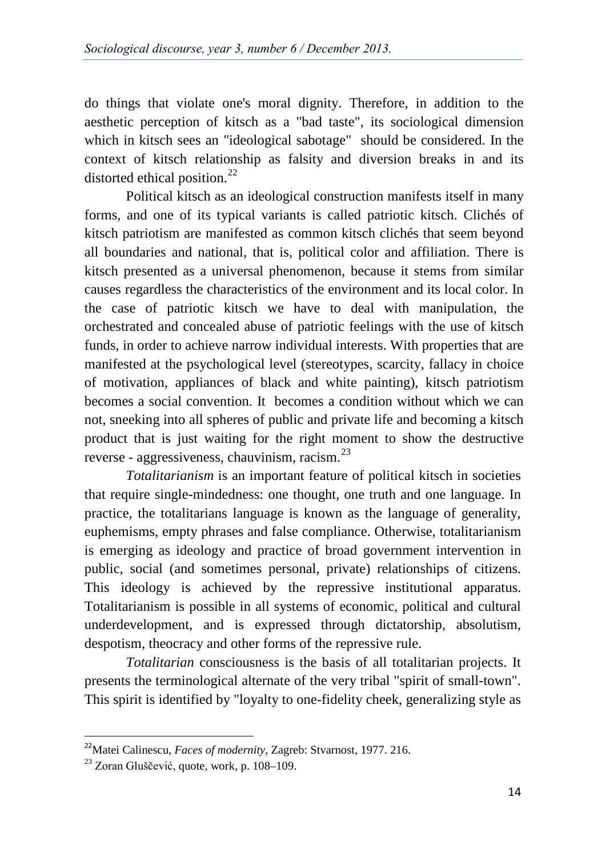do things that violate one's moral dignity. Therefore, in addition to the aesthetic perception of kitsch as a "bad taste", its sociological dimension which in kitsch sees an "ideological sabotage" should be considered. In the context of kitsch relationship as falsity and diversion breaks in and its distorted ethical position.<sup>[22](#page-9-0)</sup>

Political kitsch as an ideological construction manifests itself in many forms, and one of its typical variants is called patriotic kitsch. Clichés of kitsch patriotism are manifested as common kitsch clichés that seem beyond all boundaries and national, that is, political color and affiliation. There is kitsch presented as a universal phenomenon, because it stems from similar causes regardless the characteristics of the environment and its local color. In the case of patriotic kitsch we have to deal with manipulation, the orchestrated and concealed abuse of patriotic feelings with the use of kitsch funds, in order to achieve narrow individual interests. With properties that are manifested at the psychological level (stereotypes, scarcity, fallacy in choice of motivation, appliances of black and white painting), kitsch patriotism becomes a social convention. It becomes a condition without which we can not, sneeking into all spheres of public and private life and becoming a kitsch product that is just waiting for the right moment to show the destructive reverse - aggressiveness, chauvinism, racism.<sup>[23](#page-9-0)</sup>

*Totalitarianism* is an important feature of political kitsch in societies that require single-mindedness: one thought, one truth and one language. In practice, the totalitarians language is known as the language of generality, euphemisms, empty phrases and false compliance. Otherwise, totalitarianism is emerging as ideology and practice of broad government intervention in public, social (and sometimes personal, private) relationships of citizens. This ideology is achieved by the repressive institutional apparatus. Totalitarianism is possible in all systems of economic, political and cultural underdevelopment, and is expressed through dictatorship, absolutism, despotism, theocracy and other forms of the repressive rule.

*Totalitarian* consciousness is the basis of all totalitarian projects. It presents the terminological alternate of the very tribal "spirit of small-town". This spirit is identified by "loyalty to one-fidelity cheek, generalizing style as

<span id="page-9-0"></span> <sup>22</sup>Matei Calinescu, *Faces of modernity*, Zagreb: Stvarnost, 1977. 216.

<sup>&</sup>lt;sup>23</sup> Zoran Gluščević, quote, work, p. 108–109.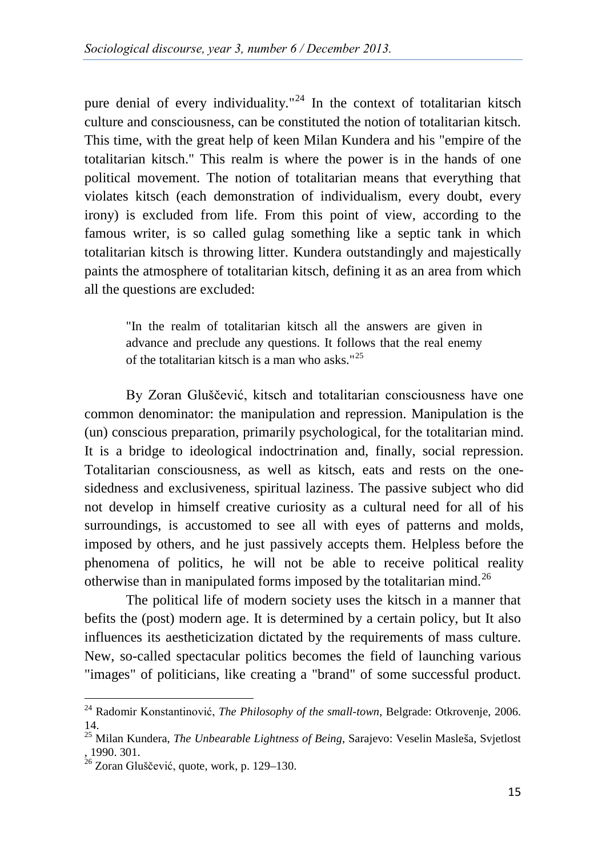pure denial of every individuality."<sup>[24](#page-10-0)</sup> In the context of totalitarian kitsch culture and consciousness, can be constituted the notion of totalitarian kitsch. This time, with the great help of keen Milan Kundera and his "empire of the totalitarian kitsch." This realm is where the power is in the hands of one political movement. The notion of totalitarian means that everything that violates kitsch (each demonstration of individualism, every doubt, every irony) is excluded from life. From this point of view, according to the famous writer, is so called gulag something like a septic tank in which totalitarian kitsch is throwing litter. Kundera outstandingly and majestically paints the atmosphere of totalitarian kitsch, defining it as an area from which all the questions are excluded:

"In the realm of totalitarian kitsch all the answers are given in advance and preclude any questions. It follows that the real enemy of the totalitarian kitsch is a man who asks." $25$ 

By Zoran Gluščević, kitsch and totalitarian consciousness have one common denominator: the manipulation and repression. Manipulation is the (un) conscious preparation, primarily psychological, for the totalitarian mind. It is a bridge to ideological indoctrination and, finally, social repression. Totalitarian consciousness, as well as kitsch, eats and rests on the onesidedness and exclusiveness, spiritual laziness. The passive subject who did not develop in himself creative curiosity as a cultural need for all of his surroundings, is accustomed to see all with eyes of patterns and molds, imposed by others, and he just passively accepts them. Helpless before the phenomena of politics, he will not be able to receive political reality otherwise than in manipulated forms imposed by the totalitarian mind.<sup>[26](#page-10-0)</sup>

The political life of modern society uses the kitsch in a manner that befits the (post) modern age. It is determined by a certain policy, but It also influences its aestheticization dictated by the requirements of mass culture. New, so-called spectacular politics becomes the field of launching various "images" of politicians, like creating a "brand" of some successful product.

<span id="page-10-0"></span><sup>24</sup> Radomir Konstantinović, *The Philosophy of the small-town*, Belgrade: Otkrovenje, 2006. 14.

<sup>25</sup> Milan Kundera, *The Unbearable Lightness of Being*, Sarajevo: Veselin Masleša, Svjetlost

 $26$  Zoran Gluščević, quote, work, p. 129–130.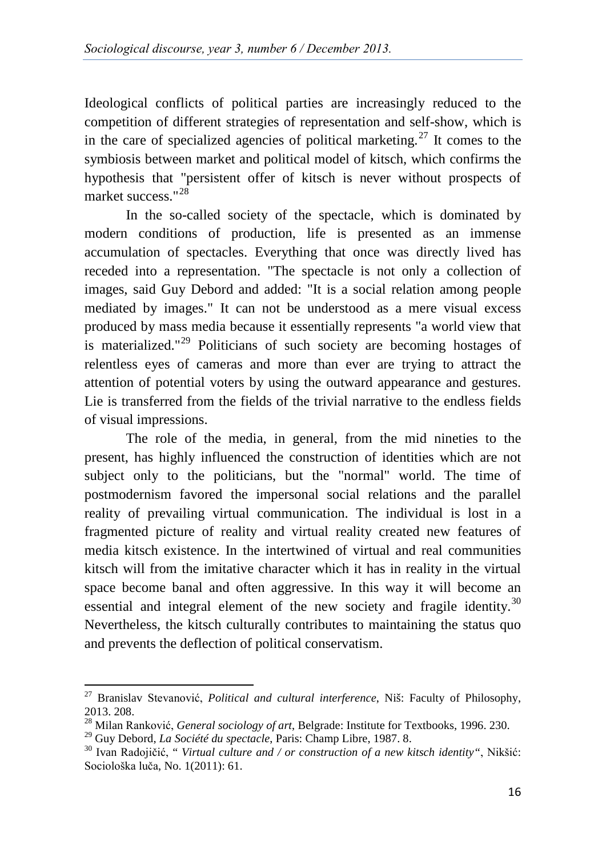Ideological conflicts of political parties are increasingly reduced to the competition of different strategies of representation and self-show, which is in the care of specialized agencies of political marketing.<sup>[27](#page-11-0)</sup> It comes to the symbiosis between market and political model of kitsch, which confirms the hypothesis that "persistent offer of kitsch is never without prospects of market success."<sup>[28](#page-11-0)</sup>

In the so-called society of the spectacle, which is dominated by modern conditions of production, life is presented as an immense accumulation of spectacles. Everything that once was directly lived has receded into a representation. "The spectacle is not only a collection of images, said Guy Debord and added: "It is a social relation among people mediated by images." It can not be understood as a mere visual excess produced by mass media because it essentially represents "a world view that is materialized."<sup>[29](#page-11-0)</sup> Politicians of such society are becoming hostages of relentless eyes of cameras and more than ever are trying to attract the attention of potential voters by using the outward appearance and gestures. Lie is transferred from the fields of the trivial narrative to the endless fields of visual impressions.

The role of the media, in general, from the mid nineties to the present, has highly influenced the construction of identities which are not subject only to the politicians, but the "normal" world. The time of postmodernism favored the impersonal social relations and the parallel reality of prevailing virtual communication. The individual is lost in a fragmented picture of reality and virtual reality created new features of media kitsch existence. In the intertwined of virtual and real communities kitsch will from the imitative character which it has in reality in the virtual space become banal and often aggressive. In this way it will become an essential and integral element of the new society and fragile identity.<sup>[30](#page-11-0)</sup> Nevertheless, the kitsch culturally contributes to maintaining the status quo and prevents the deflection of political conservatism.

<span id="page-11-0"></span><sup>27</sup> Branislav Stevanović, *Political and cultural interference*, Niš: Faculty of Philosophy, 2013. 208.<br><sup>28</sup> Milan Ranković, *General sociology of art*, Belgrade: Institute for Textbooks, 1996. 230.<br><sup>29</sup> Guy Debord, *La Société du spectacle*, Paris: Champ Libre, 1987. 8.

<sup>&</sup>lt;sup>30</sup> Ivan Radojičić, "*Virtual culture and / or construction of a new kitsch identity*", Nikšić: Sociološka luča, No. 1(2011): 61.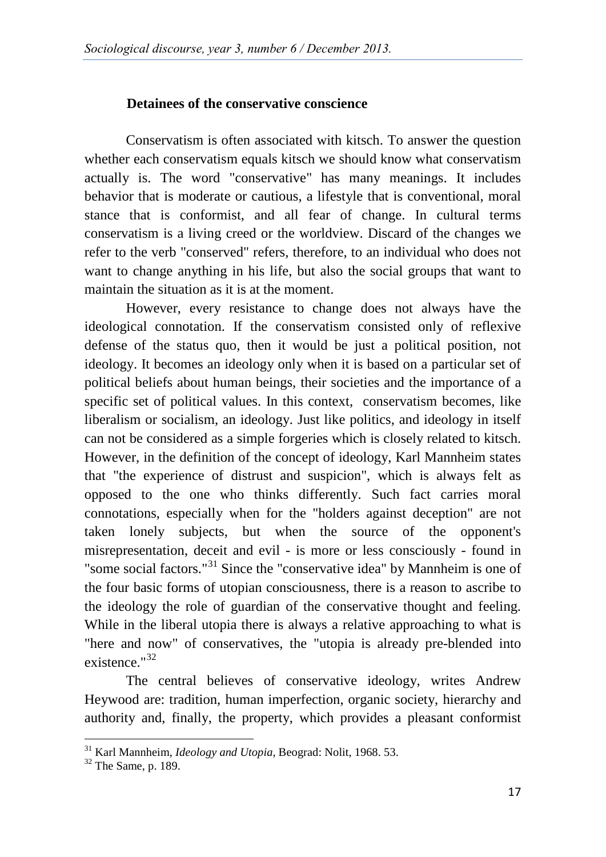### **Detainees of the conservative conscience**

Conservatism is often associated with kitsch. To answer the question whether each conservatism equals kitsch we should know what conservatism actually is. The word "conservative" has many meanings. It includes behavior that is moderate or cautious, a lifestyle that is conventional, moral stance that is conformist, and all fear of change. In cultural terms conservatism is a living creed or the worldview. Discard of the changes we refer to the verb "conserved" refers, therefore, to an individual who does not want to change anything in his life, but also the social groups that want to maintain the situation as it is at the moment.

However, every resistance to change does not always have the ideological connotation. If the conservatism consisted only of reflexive defense of the status quo, then it would be just a political position, not ideology. It becomes an ideology only when it is based on a particular set of political beliefs about human beings, their societies and the importance of a specific set of political values. In this context, conservatism becomes, like liberalism or socialism, an ideology. Just like politics, and ideology in itself can not be considered as a simple forgeries which is closely related to kitsch. However, in the definition of the concept of ideology, Karl Mannheim states that "the experience of distrust and suspicion", which is always felt as opposed to the one who thinks differently. Such fact carries moral connotations, especially when for the "holders against deception" are not taken lonely subjects, but when the source of the opponent's misrepresentation, deceit and evil - is more or less consciously - found in "some social factors."<sup>[31](#page-12-0)</sup> Since the "conservative idea" by Mannheim is one of the four basic forms of utopian consciousness, there is a reason to ascribe to the ideology the role of guardian of the conservative thought and feeling. While in the liberal utopia there is always a relative approaching to what is "here and now" of conservatives, the "utopia is already pre-blended into existence."[32](#page-12-0)

The central believes of conservative ideology, writes Andrew Heywood are: tradition, human imperfection, organic society, hierarchy and authority and, finally, the property, which provides a pleasant conformist

<span id="page-12-0"></span><sup>&</sup>lt;sup>31</sup> Karl Mannheim, *Ideology and Utopia*, Beograd: Nolit, 1968. 53.<br><sup>32</sup> The Same, p. 189.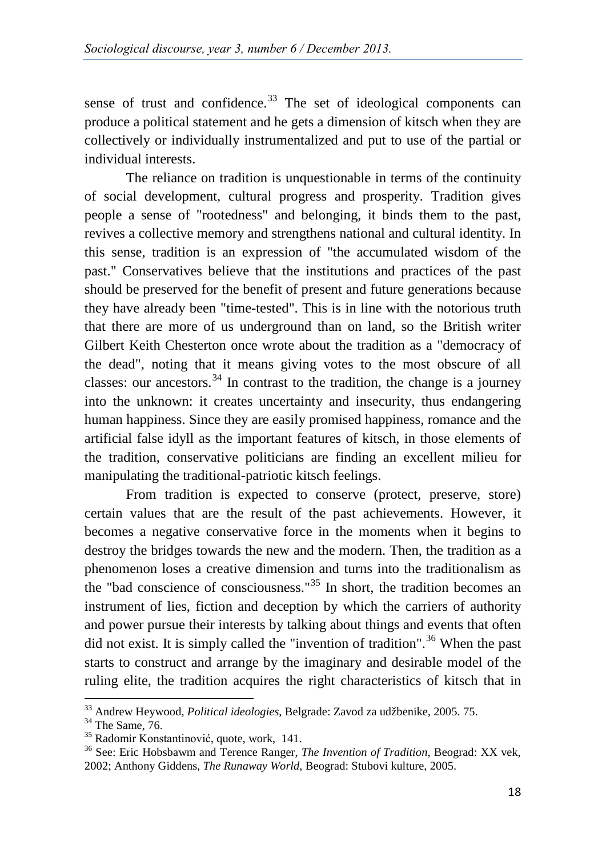sense of trust and confidence. $33$  The set of ideological components can produce a political statement and he gets a dimension of kitsch when they are collectively or individually instrumentalized and put to use of the partial or individual interests.

The reliance on tradition is unquestionable in terms of the continuity of social development, cultural progress and prosperity. Tradition gives people a sense of "rootedness" and belonging, it binds them to the past, revives a collective memory and strengthens national and cultural identity. In this sense, tradition is an expression of "the accumulated wisdom of the past." Conservatives believe that the institutions and practices of the past should be preserved for the benefit of present and future generations because they have already been "time-tested". This is in line with the notorious truth that there are more of us underground than on land, so the British writer Gilbert Keith Chesterton once wrote about the tradition as a "democracy of the dead", noting that it means giving votes to the most obscure of all classes: our ancestors.<sup>[34](#page-13-0)</sup> In contrast to the tradition, the change is a journey into the unknown: it creates uncertainty and insecurity, thus endangering human happiness. Since they are easily promised happiness, romance and the artificial false idyll as the important features of kitsch, in those elements of the tradition, conservative politicians are finding an excellent milieu for manipulating the traditional-patriotic kitsch feelings.

From tradition is expected to conserve (protect, preserve, store) certain values that are the result of the past achievements. However, it becomes a negative conservative force in the moments when it begins to destroy the bridges towards the new and the modern. Then, the tradition as a phenomenon loses a creative dimension and turns into the traditionalism as the "bad conscience of consciousness."<sup>[35](#page-13-0)</sup> In short, the tradition becomes an instrument of lies, fiction and deception by which the carriers of authority and power pursue their interests by talking about things and events that often did not exist. It is simply called the "invention of tradition".<sup>[36](#page-13-0)</sup> When the past starts to construct and arrange by the imaginary and desirable model of the ruling elite, the tradition acquires the right characteristics of kitsch that in

<span id="page-13-0"></span><sup>&</sup>lt;sup>33</sup> Andrew Heywood, *Political ideologies*, Belgrade: Zavod za udžbenike, 2005. 75.<br><sup>34</sup> The Same, 76.<br><sup>35</sup> Radomir Konstantinović, quote, work, 141.<br><sup>36</sup> See: Eric Hobsbawm and Terence Ranger, *The Invention of Traditio* 

<sup>2002;</sup> Anthony Giddens, *The Runaway World*, Beograd: Stubovi kulture, 2005.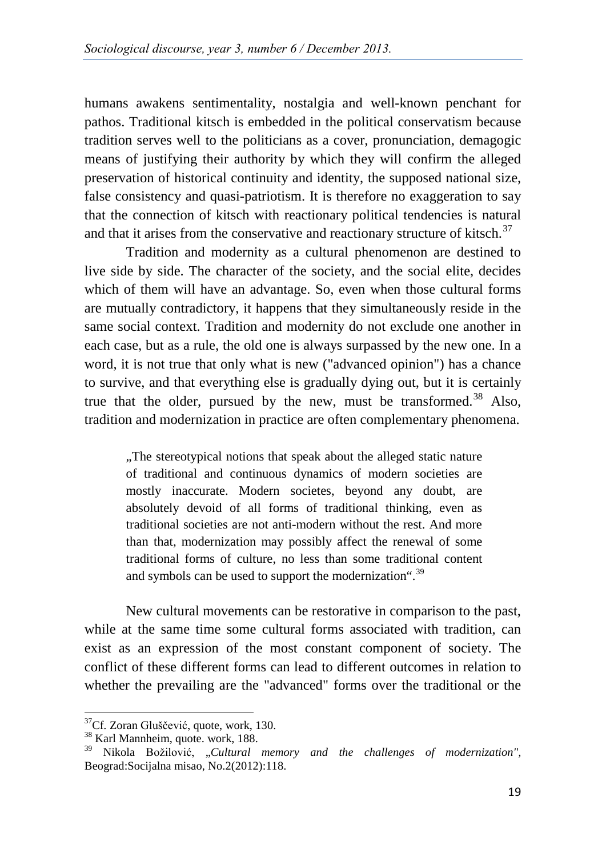humans awakens sentimentality, nostalgia and well-known penchant for pathos. Traditional kitsch is embedded in the political conservatism because tradition serves well to the politicians as a cover, pronunciation, demagogic means of justifying their authority by which they will confirm the alleged preservation of historical continuity and identity, the supposed national size, false consistency and quasi-patriotism. It is therefore no exaggeration to say that the connection of kitsch with reactionary political tendencies is natural and that it arises from the conservative and reactionary structure of kitsch. $37$ 

Tradition and modernity as a cultural phenomenon are destined to live side by side. The character of the society, and the social elite, decides which of them will have an advantage. So, even when those cultural forms are mutually contradictory, it happens that they simultaneously reside in the same social context. Tradition and modernity do not exclude one another in each case, but as a rule, the old one is always surpassed by the new one. In a word, it is not true that only what is new ("advanced opinion") has a chance to survive, and that everything else is gradually dying out, but it is certainly true that the older, pursued by the new, must be transformed.<sup>[38](#page-14-0)</sup> Also, tradition and modernization in practice are often complementary phenomena.

..The stereotypical notions that speak about the alleged static nature. of traditional and continuous dynamics of modern societies are mostly inaccurate. Modern societes, beyond any doubt, are absolutely devoid of all forms of traditional thinking, even as traditional societies are not anti-modern without the rest. And more than that, modernization may possibly affect the renewal of some traditional forms of culture, no less than some traditional content and symbols can be used to support the modernization".<sup>[39](#page-14-0)</sup>

New cultural movements can be restorative in comparison to the past, while at the same time some cultural forms associated with tradition, can exist as an expression of the most constant component of society. The conflict of these different forms can lead to different outcomes in relation to whether the prevailing are the "advanced" forms over the traditional or the

<span id="page-14-0"></span> $37^3$ Cf. Zoran Gluščević, quote, work, 130.<br> $38$  Karl Mannheim, quote. work, 188.

<sup>39</sup> Nikola Božilović, "*Cultural memory and the challenges of modernization",*  Beograd:Socijalna misao, No.2(2012):118.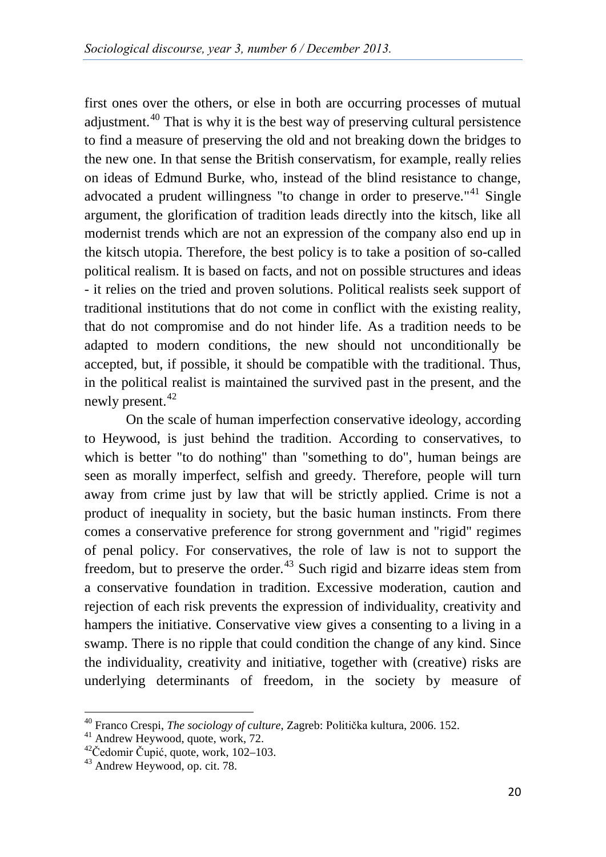first ones over the others, or else in both are occurring processes of mutual adjustment.<sup>[40](#page-15-0)</sup> That is why it is the best way of preserving cultural persistence to find a measure of preserving the old and not breaking down the bridges to the new one. In that sense the British conservatism, for example, really relies on ideas of Edmund Burke, who, instead of the blind resistance to change, advocated a prudent willingness "to change in order to preserve."<sup>[41](#page-15-0)</sup> Single argument, the glorification of tradition leads directly into the kitsch, like all modernist trends which are not an expression of the company also end up in the kitsch utopia. Therefore, the best policy is to take a position of so-called political realism. It is based on facts, and not on possible structures and ideas - it relies on the tried and proven solutions. Political realists seek support of traditional institutions that do not come in conflict with the existing reality, that do not compromise and do not hinder life. As a tradition needs to be adapted to modern conditions, the new should not unconditionally be accepted, but, if possible, it should be compatible with the traditional. Thus, in the political realist is maintained the survived past in the present, and the newly present.<sup>[42](#page-15-0)</sup>

On the scale of human imperfection conservative ideology, according to Heywood, is just behind the tradition. According to conservatives, to which is better "to do nothing" than "something to do", human beings are seen as morally imperfect, selfish and greedy. Therefore, people will turn away from crime just by law that will be strictly applied. Crime is not a product of inequality in society, but the basic human instincts. From there comes a conservative preference for strong government and "rigid" regimes of penal policy. For conservatives, the role of law is not to support the freedom, but to preserve the order.<sup>[43](#page-15-0)</sup> Such rigid and bizarre ideas stem from a conservative foundation in tradition. Excessive moderation, caution and rejection of each risk prevents the expression of individuality, creativity and hampers the initiative. Conservative view gives a consenting to a living in a swamp. There is no ripple that could condition the change of any kind. Since the individuality, creativity and initiative, together with (creative) risks are underlying determinants of freedom, in the society by measure of

<span id="page-15-0"></span><sup>40</sup> Franco Crespi, *The sociology of culture*, Zagreb: Politička kultura, 2006. 152. <sup>41</sup> Andrew Heywood, quote, work, 72. <sup>42</sup>Čedomir Čupić, quote, work, 102–103. <sup>43</sup> Andrew Heywood, op. cit. 78.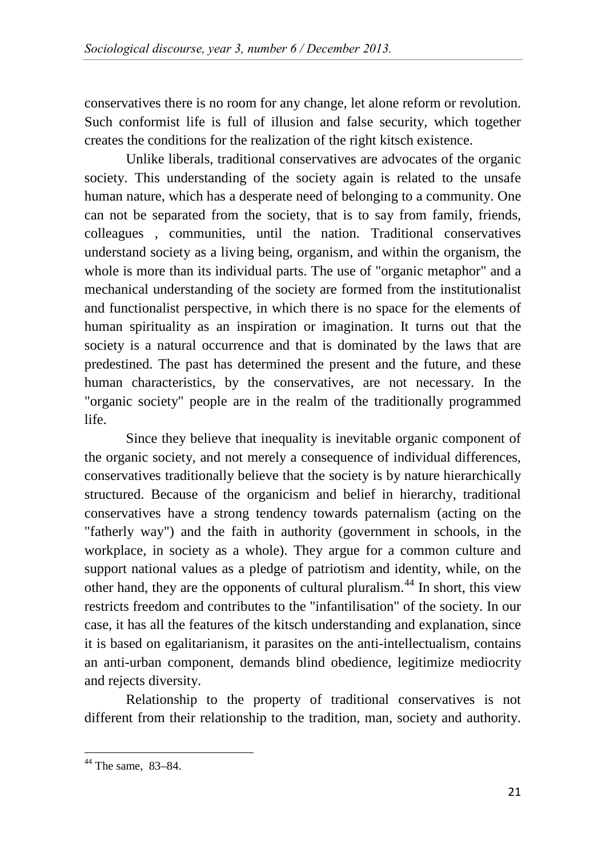conservatives there is no room for any change, let alone reform or revolution. Such conformist life is full of illusion and false security, which together creates the conditions for the realization of the right kitsch existence.

Unlike liberals, traditional conservatives are advocates of the organic society. This understanding of the society again is related to the unsafe human nature, which has a desperate need of belonging to a community. One can not be separated from the society, that is to say from family, friends, colleagues , communities, until the nation. Traditional conservatives understand society as a living being, organism, and within the organism, the whole is more than its individual parts. The use of "organic metaphor" and a mechanical understanding of the society are formed from the institutionalist and functionalist perspective, in which there is no space for the elements of human spirituality as an inspiration or imagination. It turns out that the society is a natural occurrence and that is dominated by the laws that are predestined. The past has determined the present and the future, and these human characteristics, by the conservatives, are not necessary. In the "organic society" people are in the realm of the traditionally programmed life.

Since they believe that inequality is inevitable organic component of the organic society, and not merely a consequence of individual differences, conservatives traditionally believe that the society is by nature hierarchically structured. Because of the organicism and belief in hierarchy, traditional conservatives have a strong tendency towards paternalism (acting on the "fatherly way") and the faith in authority (government in schools, in the workplace, in society as a whole). They argue for a common culture and support national values as a pledge of patriotism and identity, while, on the other hand, they are the opponents of cultural pluralism.[44](#page-16-0) In short, this view restricts freedom and contributes to the "infantilisation" of the society. In our case, it has all the features of the kitsch understanding and explanation, since it is based on egalitarianism, it parasites on the anti-intellectualism, contains an anti-urban component, demands blind obedience, legitimize mediocrity and rejects diversity.

Relationship to the property of traditional conservatives is not different from their relationship to the tradition, man, society and authority.

<span id="page-16-0"></span> $44$  The same, 83-84.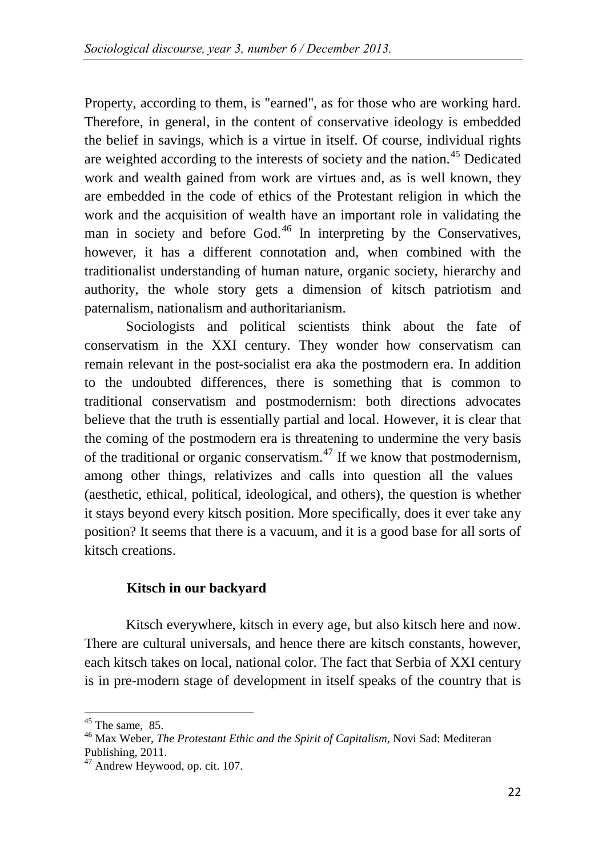Property, according to them, is "earned", as for those who are working hard. Therefore, in general, in the content of conservative ideology is embedded the belief in savings, which is a virtue in itself. Of course, individual rights are weighted according to the interests of society and the nation.<sup>[45](#page-17-0)</sup> Dedicated work and wealth gained from work are virtues and, as is well known, they are embedded in the code of ethics of the Protestant religion in which the work and the acquisition of wealth have an important role in validating the man in society and before God. $46$  In interpreting by the Conservatives, however, it has a different connotation and, when combined with the traditionalist understanding of human nature, organic society, hierarchy and authority, the whole story gets a dimension of kitsch patriotism and paternalism, nationalism and authoritarianism.

Sociologists and political scientists think about the fate of conservatism in the XXI century. They wonder how conservatism can remain relevant in the post-socialist era aka the postmodern era. In addition to the undoubted differences, there is something that is common to traditional conservatism and postmodernism: both directions advocates believe that the truth is essentially partial and local. However, it is clear that the coming of the postmodern era is threatening to undermine the very basis of the traditional or organic conservatism.<sup>[47](#page-17-0)</sup> If we know that postmodernism, among other things, relativizes and calls into question all the values (aesthetic, ethical, political, ideological, and others), the question is whether it stays beyond every kitsch position. More specifically, does it ever take any position? It seems that there is a vacuum, and it is a good base for all sorts of kitsch creations.

### **Kitsch in our backyard**

Kitsch everywhere, kitsch in every age, but also kitsch here and now. There are cultural universals, and hence there are kitsch constants, however, each kitsch takes on local, national color. The fact that Serbia of XXI century is in pre-modern stage of development in itself speaks of the country that is

<span id="page-17-0"></span><sup>&</sup>lt;sup>45</sup> The same, 85.<br><sup>46</sup> Max Weber, *The Protestant Ethic and the Spirit of Capitalism*, Novi Sad: Mediteran Publishing, 2011.<br> $47$  Andrew Heywood, op. cit. 107.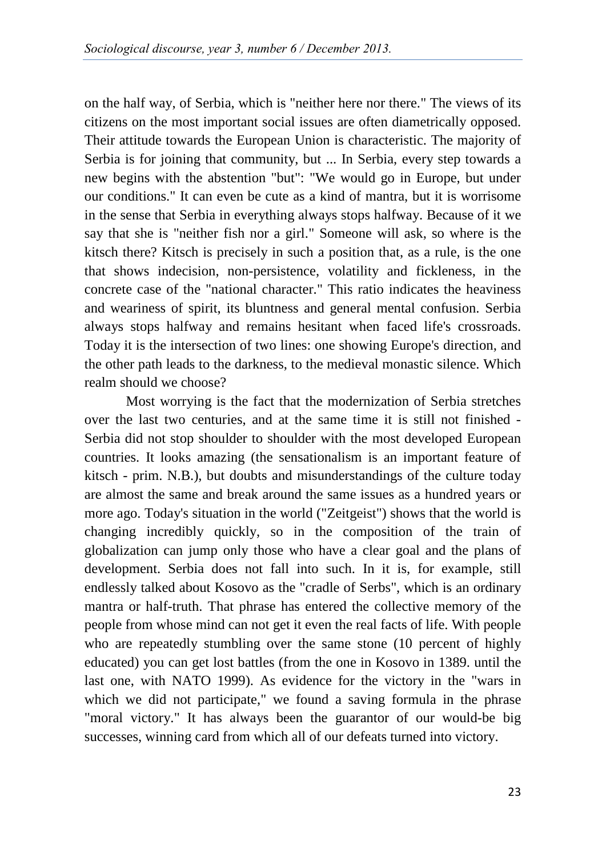on the half way, of Serbia, which is "neither here nor there." The views of its citizens on the most important social issues are often diametrically opposed. Their attitude towards the European Union is characteristic. The majority of Serbia is for joining that community, but ... In Serbia, every step towards a new begins with the abstention "but": "We would go in Europe, but under our conditions." It can even be cute as a kind of mantra, but it is worrisome in the sense that Serbia in everything always stops halfway. Because of it we say that she is "neither fish nor a girl." Someone will ask, so where is the kitsch there? Kitsch is precisely in such a position that, as a rule, is the one that shows indecision, non-persistence, volatility and fickleness, in the concrete case of the "national character." This ratio indicates the heaviness and weariness of spirit, its bluntness and general mental confusion. Serbia always stops halfway and remains hesitant when faced life's crossroads. Today it is the intersection of two lines: one showing Europe's direction, and the other path leads to the darkness, to the medieval monastic silence. Which realm should we choose?

Most worrying is the fact that the modernization of Serbia stretches over the last two centuries, and at the same time it is still not finished - Serbia did not stop shoulder to shoulder with the most developed European countries. It looks amazing (the sensationalism is an important feature of kitsch - prim. N.B.), but doubts and misunderstandings of the culture today are almost the same and break around the same issues as a hundred years or more ago. Today's situation in the world ("Zeitgeist") shows that the world is changing incredibly quickly, so in the composition of the train of globalization can jump only those who have a clear goal and the plans of development. Serbia does not fall into such. In it is, for example, still endlessly talked about Kosovo as the "cradle of Serbs", which is an ordinary mantra or half-truth. That phrase has entered the collective memory of the people from whose mind can not get it even the real facts of life. With people who are repeatedly stumbling over the same stone (10 percent of highly educated) you can get lost battles (from the one in Kosovo in 1389. until the last one, with NATO 1999). As evidence for the victory in the "wars in which we did not participate," we found a saving formula in the phrase "moral victory." It has always been the guarantor of our would-be big successes, winning card from which all of our defeats turned into victory.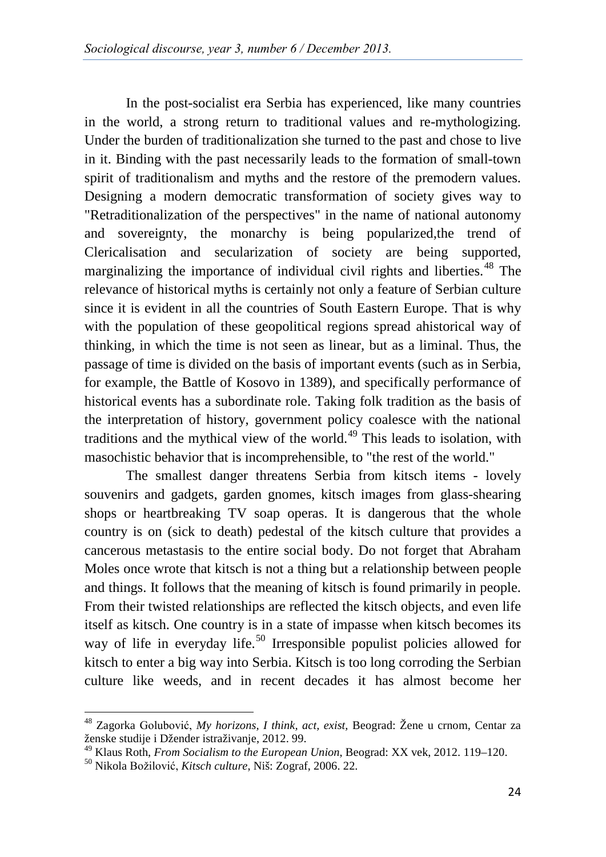In the post-socialist era Serbia has experienced, like many countries in the world, a strong return to traditional values and re-mythologizing. Under the burden of traditionalization she turned to the past and chose to live in it. Binding with the past necessarily leads to the formation of small-town spirit of traditionalism and myths and the restore of the premodern values. Designing a modern democratic transformation of society gives way to "Retraditionalization of the perspectives" in the name of national autonomy and sovereignty, the monarchy is being popularized,the trend of Clericalisation and secularization of society are being supported, marginalizing the importance of individual civil rights and liberties.<sup>[48](#page-19-0)</sup> The relevance of historical myths is certainly not only a feature of Serbian culture since it is evident in all the countries of South Eastern Europe. That is why with the population of these geopolitical regions spread ahistorical way of thinking, in which the time is not seen as linear, but as a liminal. Thus, the passage of time is divided on the basis of important events (such as in Serbia, for example, the Battle of Kosovo in 1389), and specifically performance of historical events has a subordinate role. Taking folk tradition as the basis of the interpretation of history, government policy coalesce with the national traditions and the mythical view of the world.<sup>[49](#page-19-0)</sup> This leads to isolation, with masochistic behavior that is incomprehensible, to "the rest of the world."

The smallest danger threatens Serbia from kitsch items - lovely souvenirs and gadgets, garden gnomes, kitsch images from glass-shearing shops or heartbreaking TV soap operas. It is dangerous that the whole country is on (sick to death) pedestal of the kitsch culture that provides a cancerous metastasis to the entire social body. Do not forget that Abraham Moles once wrote that kitsch is not a thing but a relationship between people and things. It follows that the meaning of kitsch is found primarily in people. From their twisted relationships are reflected the kitsch objects, and even life itself as kitsch. One country is in a state of impasse when kitsch becomes its way of life in everyday life.<sup>[50](#page-19-0)</sup> Irresponsible populist policies allowed for kitsch to enter a big way into Serbia. Kitsch is too long corroding the Serbian culture like weeds, and in recent decades it has almost become her

<span id="page-19-0"></span><sup>48</sup> Zagorka Golubović, *My horizons, I think, act, exist,* Beograd: Žene u crnom, Centar za ženske studije i Džender istraživanje, 2012. 99.

<sup>49</sup> Klaus Roth, *From Socialism to the European Union*, Beograd: XX vek, 2012. 119–120. <sup>50</sup> Nikola Božilović, *Kitsch culture*, Niš: Zograf, 2006. 22.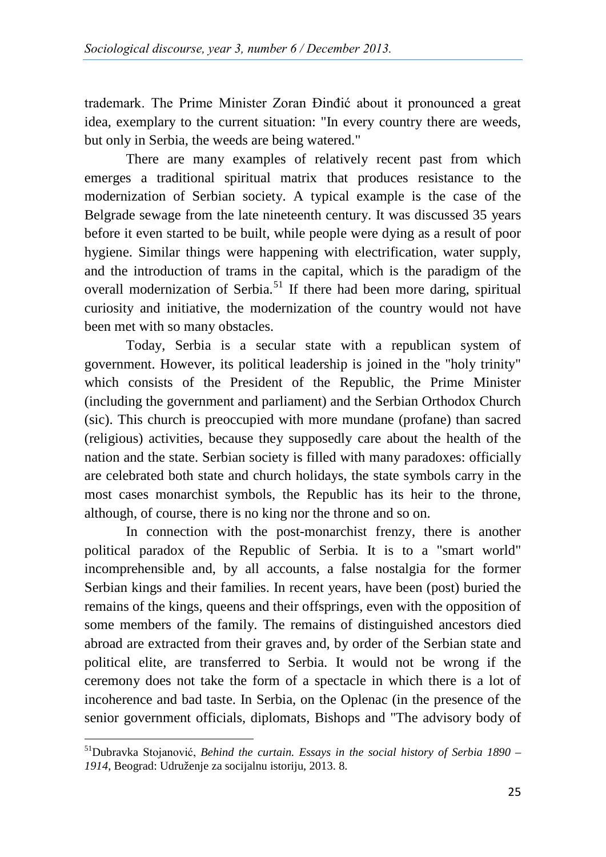trademark. The Prime Minister Zoran Đinđić about it pronounced a great idea, exemplary to the current situation: "In every country there are weeds, but only in Serbia, the weeds are being watered."

There are many examples of relatively recent past from which emerges a traditional spiritual matrix that produces resistance to the modernization of Serbian society. A typical example is the case of the Belgrade sewage from the late nineteenth century. It was discussed 35 years before it even started to be built, while people were dying as a result of poor hygiene. Similar things were happening with electrification, water supply, and the introduction of trams in the capital, which is the paradigm of the overall modernization of Serbia.<sup>[51](#page-20-0)</sup> If there had been more daring, spiritual curiosity and initiative, the modernization of the country would not have been met with so many obstacles.

Today, Serbia is a secular state with a republican system of government. However, its political leadership is joined in the "holy trinity" which consists of the President of the Republic, the Prime Minister (including the government and parliament) and the Serbian Orthodox Church (sic). This church is preoccupied with more mundane (profane) than sacred (religious) activities, because they supposedly care about the health of the nation and the state. Serbian society is filled with many paradoxes: officially are celebrated both state and church holidays, the state symbols carry in the most cases monarchist symbols, the Republic has its heir to the throne, although, of course, there is no king nor the throne and so on.

In connection with the post-monarchist frenzy, there is another political paradox of the Republic of Serbia. It is to a "smart world" incomprehensible and, by all accounts, a false nostalgia for the former Serbian kings and their families. In recent years, have been (post) buried the remains of the kings, queens and their offsprings, even with the opposition of some members of the family. The remains of distinguished ancestors died abroad are extracted from their graves and, by order of the Serbian state and political elite, are transferred to Serbia. It would not be wrong if the ceremony does not take the form of a spectacle in which there is a lot of incoherence and bad taste. In Serbia, on the Oplenac (in the presence of the senior government officials, diplomats, Bishops and "The advisory body of

<span id="page-20-0"></span>51Dubravka Stojanović, *Behind the curtain. Essays in the social history of Serbia 1890 – 1914*, Beograd: Udruženje za socijalnu istoriju, 2013. 8.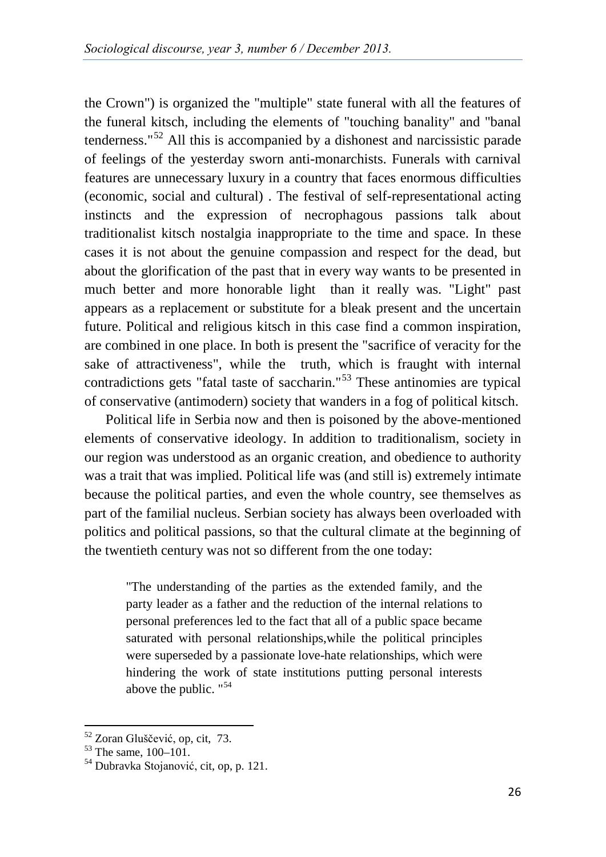the Crown") is organized the "multiple" state funeral with all the features of the funeral kitsch, including the elements of "touching banality" and "banal tenderness."[52](#page-21-0) All this is accompanied by a dishonest and narcissistic parade of feelings of the yesterday sworn anti-monarchists. Funerals with carnival features are unnecessary luxury in a country that faces enormous difficulties (economic, social and cultural) . The festival of self-representational acting instincts and the expression of necrophagous passions talk about traditionalist kitsch nostalgia inappropriate to the time and space. In these cases it is not about the genuine compassion and respect for the dead, but about the glorification of the past that in every way wants to be presented in much better and more honorable light than it really was. "Light" past appears as a replacement or substitute for a bleak present and the uncertain future. Political and religious kitsch in this case find a common inspiration, are combined in one place. In both is present the "sacrifice of veracity for the sake of attractiveness", while the truth, which is fraught with internal contradictions gets "fatal taste of saccharin."<sup>[53](#page-21-0)</sup> These antinomies are typical of conservative (antimodern) society that wanders in a fog of political kitsch.

Political life in Serbia now and then is poisoned by the above-mentioned elements of conservative ideology. In addition to traditionalism, society in our region was understood as an organic creation, and obedience to authority was a trait that was implied. Political life was (and still is) extremely intimate because the political parties, and even the whole country, see themselves as part of the familial nucleus. Serbian society has always been overloaded with politics and political passions, so that the cultural climate at the beginning of the twentieth century was not so different from the one today:

"The understanding of the parties as the extended family, and the party leader as a father and the reduction of the internal relations to personal preferences led to the fact that all of a public space became saturated with personal relationships,while the political principles were superseded by a passionate love-hate relationships, which were hindering the work of state institutions putting personal interests above the public. "[54](#page-21-0)

<span id="page-21-0"></span><sup>&</sup>lt;sup>52</sup> Zoran Gluščević, op, cit, 73.<br><sup>53</sup> The same, 100–101.<br><sup>54</sup> Dubravka Stojanović, cit, op, p. 121.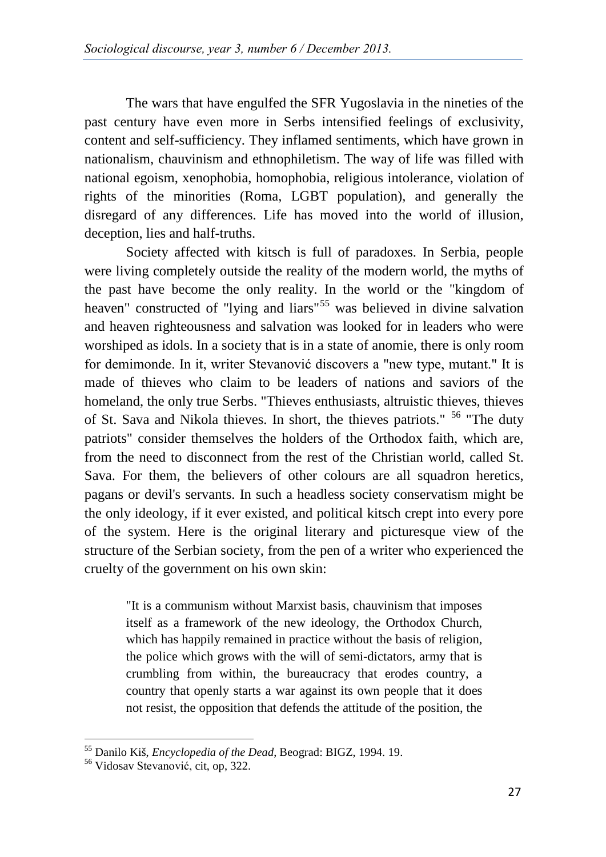The wars that have engulfed the SFR Yugoslavia in the nineties of the past century have even more in Serbs intensified feelings of exclusivity, content and self-sufficiency. They inflamed sentiments, which have grown in nationalism, chauvinism and ethnophiletism. The way of life was filled with national egoism, xenophobia, homophobia, religious intolerance, violation of rights of the minorities (Roma, LGBT population), and generally the disregard of any differences. Life has moved into the world of illusion, deception, lies and half-truths.

Society affected with kitsch is full of paradoxes. In Serbia, people were living completely outside the reality of the modern world, the myths of the past have become the only reality. In the world or the "kingdom of heaven" constructed of "lying and liars"<sup>[55](#page-22-0)</sup> was believed in divine salvation and heaven righteousness and salvation was looked for in leaders who were worshiped as idols. In a society that is in a state of anomie, there is only room for demimonde. In it, writer Stevanović discovers a "new type, mutant." It is made of thieves who claim to be leaders of nations and saviors of the homeland, the only true Serbs. "Thieves enthusiasts, altruistic thieves, thieves of St. Sava and Nikola thieves. In short, the thieves patriots." [56](#page-22-0) "The duty patriots" consider themselves the holders of the Orthodox faith, which are, from the need to disconnect from the rest of the Christian world, called St. Sava. For them, the believers of other colours are all squadron heretics, pagans or devil's servants. In such a headless society conservatism might be the only ideology, if it ever existed, and political kitsch crept into every pore of the system. Here is the original literary and picturesque view of the structure of the Serbian society, from the pen of a writer who experienced the cruelty of the government on his own skin:

"It is a communism without Marxist basis, chauvinism that imposes itself as a framework of the new ideology, the Orthodox Church, which has happily remained in practice without the basis of religion, the police which grows with the will of semi-dictators, army that is crumbling from within, the bureaucracy that erodes country, a country that openly starts a war against its own people that it does not resist, the opposition that defends the attitude of the position, the

<span id="page-22-0"></span><sup>&</sup>lt;sup>55</sup> Danilo Kiš, *Encyclopedia of the Dead*, Beograd: BIGZ, 1994. 19.<br><sup>56</sup> Vidosav Stevanović, cit, op, 322.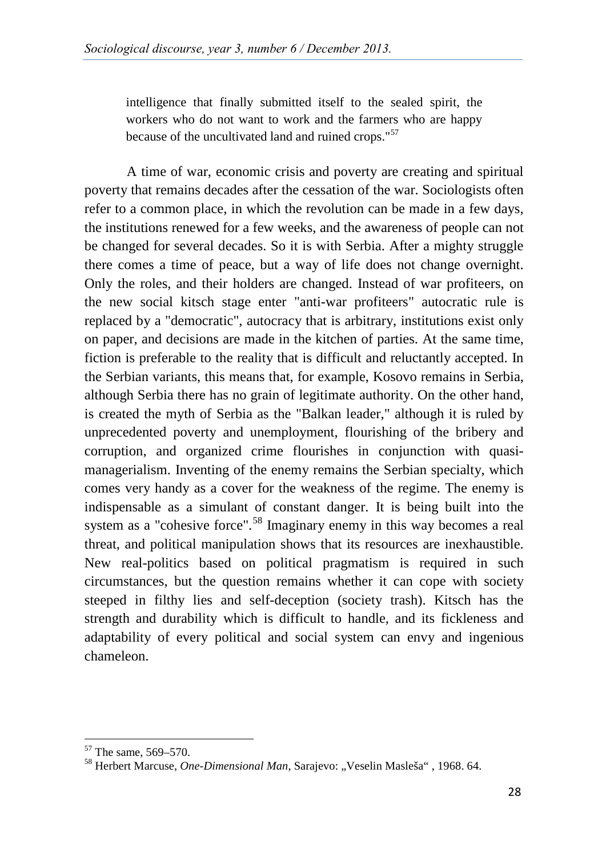intelligence that finally submitted itself to the sealed spirit, the workers who do not want to work and the farmers who are happy because of the uncultivated land and ruined crops."[57](#page-23-0)

A time of war, economic crisis and poverty are creating and spiritual poverty that remains decades after the cessation of the war. Sociologists often refer to a common place, in which the revolution can be made in a few days, the institutions renewed for a few weeks, and the awareness of people can not be changed for several decades. So it is with Serbia. After a mighty struggle there comes a time of peace, but a way of life does not change overnight. Only the roles, and their holders are changed. Instead of war profiteers, on the new social kitsch stage enter "anti-war profiteers" autocratic rule is replaced by a "democratic", autocracy that is arbitrary, institutions exist only on paper, and decisions are made in the kitchen of parties. At the same time, fiction is preferable to the reality that is difficult and reluctantly accepted. In the Serbian variants, this means that, for example, Kosovo remains in Serbia, although Serbia there has no grain of legitimate authority. On the other hand, is created the myth of Serbia as the "Balkan leader," although it is ruled by unprecedented poverty and unemployment, flourishing of the bribery and corruption, and organized crime flourishes in conjunction with quasimanagerialism. Inventing of the enemy remains the Serbian specialty, which comes very handy as a cover for the weakness of the regime. The enemy is indispensable as a simulant of constant danger. It is being built into the system as a "cohesive force".<sup>[58](#page-23-0)</sup> Imaginary enemy in this way becomes a real threat, and political manipulation shows that its resources are inexhaustible. New real-politics based on political pragmatism is required in such circumstances, but the question remains whether it can cope with society steeped in filthy lies and self-deception (society trash). Kitsch has the strength and durability which is difficult to handle, and its fickleness and adaptability of every political and social system can envy and ingenious chameleon.

<span id="page-23-0"></span><sup>&</sup>lt;sup>57</sup> The same, 569–570.<br><sup>58</sup> Herbert Marcuse, *One-Dimensional Man*, Sarajevo: "Veselin Masleša", 1968. 64.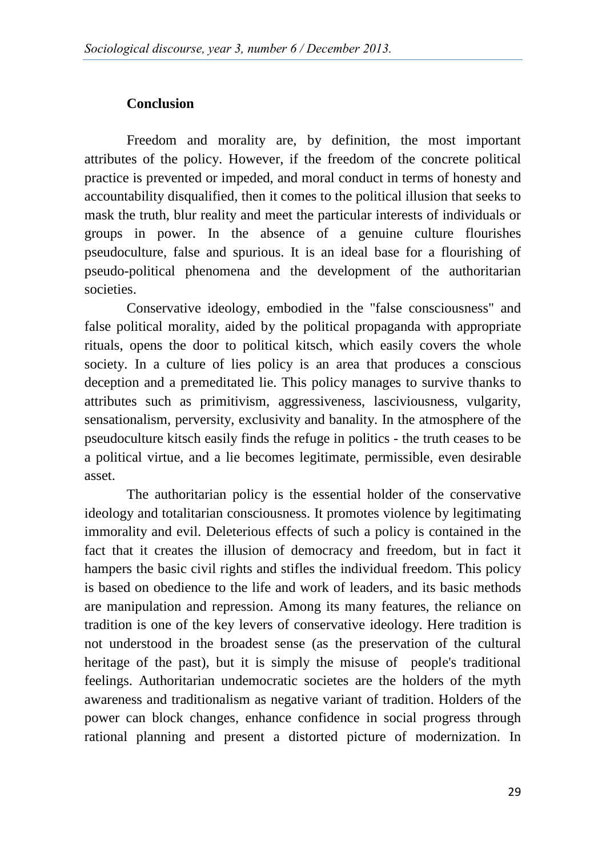## **Conclusion**

Freedom and morality are, by definition, the most important attributes of the policy. However, if the freedom of the concrete political practice is prevented or impeded, and moral conduct in terms of honesty and accountability disqualified, then it comes to the political illusion that seeks to mask the truth, blur reality and meet the particular interests of individuals or groups in power. In the absence of a genuine culture flourishes pseudoculture, false and spurious. It is an ideal base for a flourishing of pseudo-political phenomena and the development of the authoritarian societies.

Conservative ideology, embodied in the "false consciousness" and false political morality, aided by the political propaganda with appropriate rituals, opens the door to political kitsch, which easily covers the whole society. In a culture of lies policy is an area that produces a conscious deception and a premeditated lie. This policy manages to survive thanks to attributes such as primitivism, aggressiveness, lasciviousness, vulgarity, sensationalism, perversity, exclusivity and banality. In the atmosphere of the pseudoculture kitsch easily finds the refuge in politics - the truth ceases to be a political virtue, and a lie becomes legitimate, permissible, even desirable asset.

The authoritarian policy is the essential holder of the conservative ideology and totalitarian consciousness. It promotes violence by legitimating immorality and evil. Deleterious effects of such a policy is contained in the fact that it creates the illusion of democracy and freedom, but in fact it hampers the basic civil rights and stifles the individual freedom. This policy is based on obedience to the life and work of leaders, and its basic methods are manipulation and repression. Among its many features, the reliance on tradition is one of the key levers of conservative ideology. Here tradition is not understood in the broadest sense (as the preservation of the cultural heritage of the past), but it is simply the misuse of people's traditional feelings. Authoritarian undemocratic societes are the holders of the myth awareness and traditionalism as negative variant of tradition. Holders of the power can block changes, enhance confidence in social progress through rational planning and present a distorted picture of modernization. In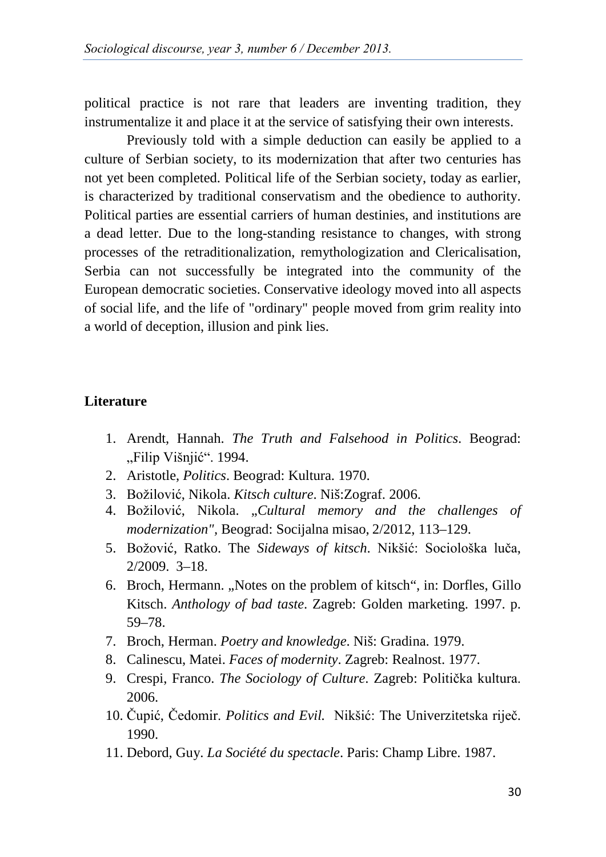political practice is not rare that leaders are inventing tradition, they instrumentalize it and place it at the service of satisfying their own interests.

Previously told with a simple deduction can easily be applied to a culture of Serbian society, to its modernization that after two centuries has not yet been completed. Political life of the Serbian society, today as earlier, is characterized by traditional conservatism and the obedience to authority. Political parties are essential carriers of human destinies, and institutions are a dead letter. Due to the long-standing resistance to changes, with strong processes of the retraditionalization, remythologization and Clericalisation, Serbia can not successfully be integrated into the community of the European democratic societies. Conservative ideology moved into all aspects of social life, and the life of "ordinary" people moved from grim reality into a world of deception, illusion and pink lies.

#### **Literature**

- 1. Arendt, Hannah. *The Truth and Falsehood in Politics*. Beograd: "Filip Višnjić". 1994.
- 2. Aristotle, *Politics*. Beograd: Kultura. 1970.
- 3. Božilović, Nikola. *Kitsch culture*. Niš:Zograf. 2006.
- 4. Božilović, Nikola. "*Cultural memory and the challenges of modernization",* Beograd: Socijalna misao, 2/2012, 113–129.
- 5. Božović, Ratko. The *Sideways of kitsch*. Nikšić: Sociološka luča, 2/2009. 3–18.
- 6. Broch, Hermann. "Notes on the problem of kitsch", in: Dorfles, Gillo Kitsch. *Anthology of bad taste*. Zagreb: Golden marketing. 1997. p. 59–78.
- 7. Broch, Herman. *Poetry and knowledge*. Niš: Gradina. 1979.
- 8. Calinescu, Matei. *Faces of modernity*. Zagreb: Realnost. 1977.
- 9. Crespi, Franco. *The Sociology of Culture*. Zagreb: Politička kultura. 2006.
- 10. Čupić, Čedomir. *Politics and Evil.* Nikšić: The Univerzitetska riječ. 1990.
- 11. Debord, Guy. *La Société du spectacle*. Paris: Champ Libre. 1987.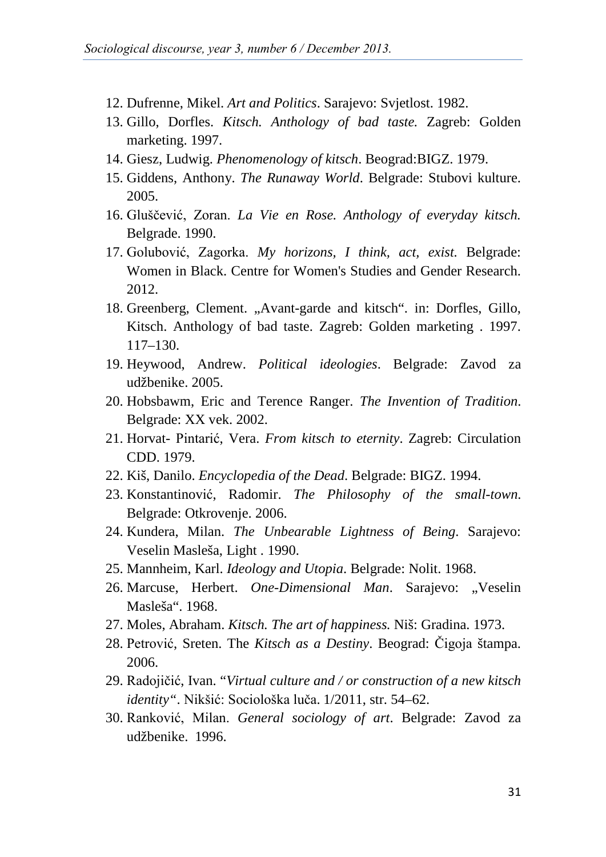- 12. Dufrenne, Mikel. *Art and Politics*. Sarajevo: Svjetlost. 1982.
- 13. Gillo, Dorfles. *Kitsch. Anthology of bad taste.* Zagreb: Golden marketing. 1997.
- 14. Giesz, Ludwig. *Phenomenology of kitsch*. Beograd:BIGZ. 1979.
- 15. Giddens, Anthony. *The Runaway World*. Belgrade: Stubovi kulture. 2005.
- 16. Gluščević, Zoran. *La Vie en Rose. Anthology of everyday kitsch.* Belgrade. 1990.
- 17. Golubović, Zagorka. *My horizons, I think, act, exist.* Belgrade: Women in Black. Centre for Women's Studies and Gender Research. 2012.
- 18. Greenberg, Clement. "Avant-garde and kitsch". in: Dorfles, Gillo, Kitsch. Anthology of bad taste. Zagreb: Golden marketing . 1997. 117–130.
- 19. Heywood, Andrew. *Political ideologies*. Belgrade: Zavod za udžbenike. 2005.
- 20. Hobsbawm, Eric and Terence Ranger. *The Invention of Tradition*. Belgrade: XX vek. 2002.
- 21. Horvat- Pintarić, Vera. *From kitsch to eternity*. Zagreb: Circulation CDD. 1979.
- 22. Kiš, Danilo. *Encyclopedia of the Dead*. Belgrade: BIGZ. 1994.
- 23. Konstantinović, Radomir. *The Philosophy of the small-town*. Belgrade: Otkrovenje. 2006.
- 24. Kundera, Milan. *The Unbearable Lightness of Being*. Sarajevo: Veselin Masleša, Light . 1990.
- 25. Mannheim, Karl. *Ideology and Utopia*. Belgrade: Nolit. 1968.
- 26. Marcuse, Herbert. *One-Dimensional Man*. Sarajevo: "Veselin Masleša". 1968.
- 27. Moles, Abraham. *Kitsch. The art of happiness.* Niš: Gradina. 1973.
- 28. Petrović, Sreten. The *Kitsch as a Destiny*. Beograd: Čigoja štampa. 2006.
- 29. Radojičić, Ivan. "*Virtual culture and / or construction of a new kitsch identity"*. Nikšić: Sociološka luča. 1/2011, str. 54–62.
- 30. Ranković, Milan. *General sociology of art*. Belgrade: Zavod za udžbenike. 1996.